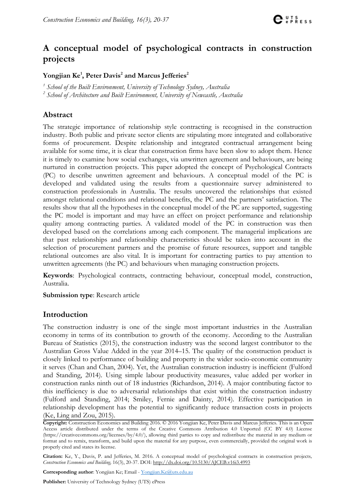# **A conceptual model of psychological contracts in construction projects**

## **Yongjian Ke<sup>1</sup> , Peter Davis<sup>2</sup> and Marcus Jefferies<sup>2</sup>**

*<sup>1</sup> School of the Built Environment, University of Technology Sydney, Australia <sup>2</sup> School of Architecture and Built Environment, University of Newcastle, Australia*

### **Abstract**

The strategic importance of relationship style contracting is recognised in the construction industry. Both public and private sector clients are stipulating more integrated and collaborative forms of procurement. Despite relationship and integrated contractual arrangement being available for some time, it is clear that construction firms have been slow to adopt them. Hence it is timely to examine how social exchanges, via unwritten agreement and behaviours, are being nurtured in construction projects. This paper adopted the concept of Psychological Contracts (PC) to describe unwritten agreement and behaviours. A conceptual model of the PC is developed and validated using the results from a questionnaire survey administered to construction professionals in Australia. The results uncovered the relationships that existed amongst relational conditions and relational benefits, the PC and the partners' satisfaction. The results show that all the hypotheses in the conceptual model of the PC are supported, suggesting the PC model is important and may have an effect on project performance and relationship quality among contracting parties. A validated model of the PC in construction was then developed based on the correlations among each component. The managerial implications are that past relationships and relationship characteristics should be taken into account in the selection of procurement partners and the promise of future resources, support and tangible relational outcomes are also vital. It is important for contracting parties to pay attention to unwritten agreements (the PC) and behaviours when managing construction projects.

**Keywords**: Psychological contracts, contracting behaviour, conceptual model, construction, Australia.

**Submission type**: Research article

### **Introduction**

The construction industry is one of the single most important industries in the Australian economy in terms of its contribution to growth of the economy. According to the Australian Bureau of Statistics (2015), the construction industry was the second largest contributor to the Australian Gross Value Added in the year 2014–15. The quality of the construction product is closely linked to performance of building and property in the wider socio-economic community it serves (Chan and Chan, 2004). Yet, the Australian construction industry is inefficient (Fulford and Standing, 2014). Using simple labour productivity measures, value added per worker in construction ranks ninth out of 18 industries (Richardson, 2014). A major contributing factor to this inefficiency is due to adversarial relationships that exist within the construction industry (Fulford and Standing, 2014; Smiley, Fernie and Dainty, 2014). Effective participation in relationship development has the potential to significantly reduce transaction costs in projects (Ke, Ling and Zou, 2015).

**Citation:** Ke, Y., Davis, P. and Jefferies, M. 2016. A conceptual model of psychological contracts in construction projects*, Construction Economics and Building,* 16(3), 20-37. DOI: <http://dx.doi.org/10.5130/AJCEB.v16i3.4993>

**Corresponding author**: Yongjian Ke; Email - [Yongjian.Ke@uts.edu.au](mailto:Yongjian.Ke@uts.edu.au)

**Publisher:** University of Technology Sydney (UTS) ePress

**Copyright:** Construction Economics and Building 2016. © 2016 Yongjian Ke, Peter Davis and Marcus Jefferies. This is an Open Access article distributed under the terms of the Creative Commons Attribution 4.0 Unported (CC BY 4.0) License [\(https://creativecommons.org/licenses/by/4.0/\)](https://creativecommons.org/licenses/by/4.0/), allowing third parties to copy and redistribute the material in any medium or format and to remix, transform, and build upon the material for any purpose, even commercially, provided the original work is properly cited and states its license.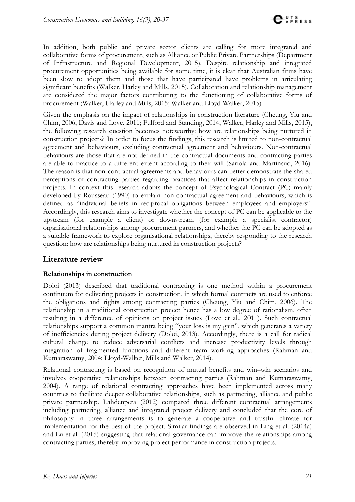In addition, both public and private sector clients are calling for more integrated and collaborative forms of procurement, such as Alliance or Public Private Partnerships (Department of Infrastructure and Regional Development, 2015). Despite relationship and integrated procurement opportunities being available for some time, it is clear that Australian firms have been slow to adopt them and those that have participated have problems in articulating significant benefits (Walker, Harley and Mills, 2015). Collaboration and relationship management are considered the major factors contributing to the functioning of collaborative forms of procurement (Walker, Harley and Mills, 2015; Walker and Lloyd-Walker, 2015).

Given the emphasis on the impact of relationships in construction literature (Cheung, Yiu and Chim, 2006; Davis and Love, 2011; Fulford and Standing, 2014; Walker, Harley and Mills, 2015), the following research question becomes noteworthy: how are relationships being nurtured in construction projects? In order to focus the findings, this research is limited to non-contractual agreement and behaviours, excluding contractual agreement and behaviours. Non-contractual behaviours are those that are not defined in the contractual documents and contracting parties are able to practice to a different extent according to their will (Sariola and Martinsuo, 2016). The reason is that non-contractual agreements and behaviours can better demonstrate the shared perceptions of contracting parties regarding practices that affect relationships in construction projects. In context this research adopts the concept of Psychological Contract (PC) mainly developed by Rousseau (1990) to explain non-contractual agreement and behaviours, which is defined as "individual beliefs in reciprocal obligations between employees and employers". Accordingly, this research aims to investigate whether the concept of PC can be applicable to the upstream (for example a client) or downstream (for example a specialist contractor) organisational relationships among procurement partners, and whether the PC can be adopted as a suitable framework to explore organisational relationships, thereby responding to the research question: how are relationships being nurtured in construction projects?

### **Literature review**

#### **Relationships in construction**

Doloi (2013) described that traditional contracting is one method within a procurement continuum for delivering projects in construction, in which formal contracts are used to enforce the obligations and rights among contracting parties (Cheung, Yiu and Chim, 2006). The relationship in a traditional construction project hence has a low degree of rationalism, often resulting in a difference of opinions on project issues (Love et al., 2011). Such contractual relationships support a common mantra being "your loss is my gain", which generates a variety of inefficiencies during project delivery (Doloi, 2013). Accordingly, there is a call for radical cultural change to reduce adversarial conflicts and increase productivity levels through integration of fragmented functions and different team working approaches (Rahman and Kumaraswamy, 2004; Lloyd-Walker, Mills and Walker, 2014).

Relational contracting is based on recognition of mutual benefits and win–win scenarios and involves cooperative relationships between contracting parties (Rahman and Kumaraswamy, 2004). A range of relational contracting approaches have been implemented across many countries to facilitate deeper collaborative relationships, such as partnering, alliance and public private partnership. Lahdenperä (2012) compared three different contractual arrangements including partnering, alliance and integrated project delivery and concluded that the core of philosophy in three arrangements is to generate a cooperative and trustful climate for implementation for the best of the project. Similar findings are observed in Ling et al. (2014a) and Lu et al. (2015) suggesting that relational governance can improve the relationships among contracting parties, thereby improving project performance in construction projects.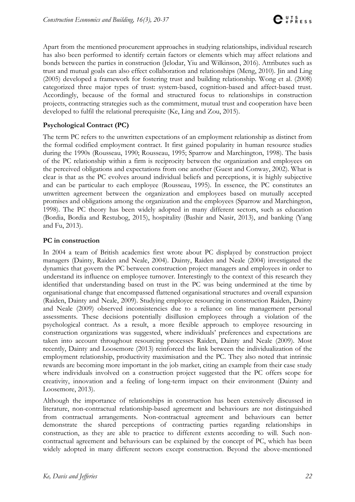Apart from the mentioned procurement approaches in studying relationships, individual research has also been performed to identify certain factors or elements which may affect relations and bonds between the parties in construction (Jelodar, Yiu and Wilkinson, 2016). Attributes such as trust and mutual goals can also effect collaboration and relationships (Meng, 2010). Jin and Ling (2005) developed a framework for fostering trust and building relationship. Wong et al. (2008) categorized three major types of trust: system-based, cognition-based and affect-based trust. Accordingly, because of the formal and structured focus to relationships in construction projects, contracting strategies such as the commitment, mutual trust and cooperation have been developed to fulfil the relational prerequisite (Ke, Ling and Zou, 2015).

#### **Psychological Contract (PC)**

The term PC refers to the unwritten expectations of an employment relationship as distinct from the formal codified employment contract. It first gained popularity in human resource studies during the 1990s (Rousseau, 1990; Rousseau, 1995; Sparrow and Marchington, 1998). The basis of the PC relationship within a firm is reciprocity between the organization and employees on the perceived obligations and expectations from one another (Guest and Conway, 2002). What is clear is that as the PC evolves around individual beliefs and perceptions, it is highly subjective and can be particular to each employee (Rousseau, 1995). In essence, the PC constitutes an unwritten agreement between the organization and employees based on mutually accepted promises and obligations among the organization and the employees (Sparrow and Marchington, 1998). The PC theory has been widely adopted in many different sectors, such as education (Bordia, Bordia and Restubog, 2015), hospitality (Bashir and Nasir, 2013), and banking (Yang and Fu, 2013).

#### **PC in construction**

In 2004 a team of British academics first wrote about PC displayed by construction project managers (Dainty, Raiden and Neale, 2004). Dainty, Raiden and Neale (2004) investigated the dynamics that govern the PC between construction project managers and employees in order to understand its influence on employee turnover. Interestingly to the context of this research they identified that understanding based on trust in the PC was being undermined at the time by organisational change that encompassed flattened organisational structures and overall expansion (Raiden, Dainty and Neale, 2009). Studying employee resourcing in construction Raiden, Dainty and Neale (2009) observed inconsistencies due to a reliance on line management personal assessments. These decisions potentially disillusion employees through a violation of the psychological contract. As a result, a more flexible approach to employee resourcing in construction organizations was suggested, where individuals' preferences and expectations are taken into account throughout resourcing processes Raiden, Dainty and Neale (2009). Most recently, Dainty and Loosemore (2013) reinforced the link between the individualization of the employment relationship, productivity maximisation and the PC. They also noted that intrinsic rewards are becoming more important in the job market, citing an example from their case study where individuals involved on a construction project suggested that the PC offers scope for creativity, innovation and a feeling of long-term impact on their environment (Dainty and Loosemore, 2013).

Although the importance of relationships in construction has been extensively discussed in literature, non-contractual relationship-based agreement and behaviours are not distinguished from contractual arrangements. Non-contractual agreement and behaviours can better demonstrate the shared perceptions of contracting parties regarding relationships in construction, as they are able to practice to different extents according to will. Such noncontractual agreement and behaviours can be explained by the concept of PC, which has been widely adopted in many different sectors except construction. Beyond the above-mentioned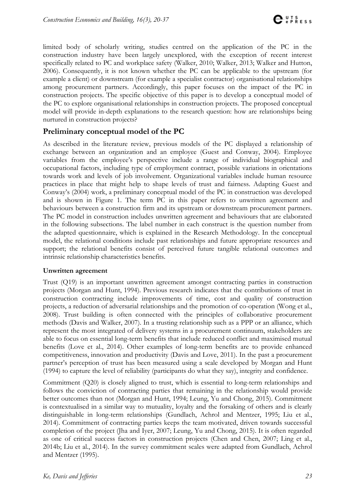limited body of scholarly writing, studies centred on the application of the PC in the construction industry have been largely unexplored, with the exception of recent interest specifically related to PC and workplace safety (Walker, 2010; Walker, 2013; Walker and Hutton, 2006). Consequently, it is not known whether the PC can be applicable to the upstream (for example a client) or downstream (for example a specialist contractor) organisational relationships among procurement partners. Accordingly, this paper focuses on the impact of the PC in construction projects. The specific objective of this paper is to develop a conceptual model of the PC to explore organisational relationships in construction projects. The proposed conceptual model will provide in-depth explanations to the research question: how are relationships being nurtured in construction projects?

### **Preliminary conceptual model of the PC**

As described in the literature review, previous models of the PC displayed a relationship of exchange between an organization and an employee (Guest and Conway, 2004). Employee variables from the employee's perspective include a range of individual biographical and occupational factors, including type of employment contract, possible variations in orientations towards work and levels of job involvement. Organizational variables include human resource practices in place that might help to shape levels of trust and fairness. Adapting Guest and Conway's (2004) work, a preliminary conceptual model of the PC in construction was developed and is shown in Figure 1. The term PC in this paper refers to unwritten agreement and behaviours between a construction firm and its upstream or downstream procurement partners. The PC model in construction includes unwritten agreement and behaviours that are elaborated in the following subsections. The label number in each construct is the question number from the adapted questionnaire, which is explained in the Research Methodology. In the conceptual model, the relational conditions include past relationships and future appropriate resources and support; the relational benefits consist of perceived future tangible relational outcomes and intrinsic relationship characteristics benefits.

#### **Unwritten agreement**

Trust (Q19) is an important unwritten agreement amongst contracting parties in construction projects (Morgan and Hunt, 1994). Previous research indicates that the contributions of trust in construction contracting include improvements of time, cost and quality of construction projects, a reduction of adversarial relationships and the promotion of co-operation (Wong et al., 2008). Trust building is often connected with the principles of collaborative procurement methods (Davis and Walker, 2007). In a trusting relationship such as a PPP or an alliance, which represent the most integrated of delivery systems in a procurement continuum, stakeholders are able to focus on essential long-term benefits that include reduced conflict and maximised mutual benefits (Love et al., 2014). Other examples of long-term benefits are to provide enhanced competitiveness, innovation and productivity (Davis and Love, 2011). In the past a procurement partner's perception of trust has been measured using a scale developed by Morgan and Hunt (1994) to capture the level of reliability (participants do what they say), integrity and confidence.

Commitment (Q20) is closely aligned to trust, which is essential to long-term relationships and follows the conviction of contracting parties that remaining in the relationship would provide better outcomes than not (Morgan and Hunt, 1994; Leung, Yu and Chong, 2015). Commitment is contextualised in a similar way to mutuality, loyalty and the forsaking of others and is clearly distinguishable in long-term relationships (Gundlach, Achrol and Mentzer, 1995; Liu et al., 2014). Commitment of contracting parties keeps the team motivated, driven towards successful completion of the project (Jha and Iyer, 2007; Leung, Yu and Chong, 2015). It is often regarded as one of critical success factors in construction projects (Chen and Chen, 2007; Ling et al., 2014b; Liu et al., 2014). In the survey commitment scales were adapted from Gundlach, Achrol and Mentzer (1995).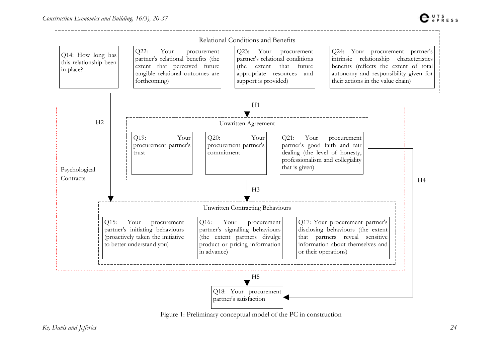

Figure 1: Preliminary conceptual model of the PC in construction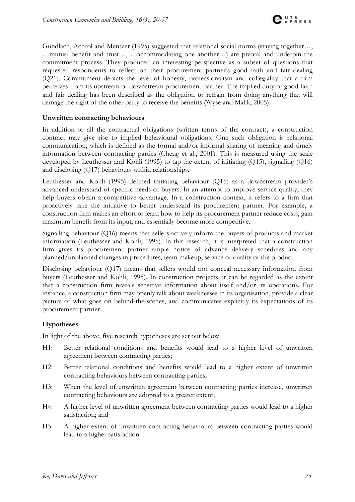Gundlach, Achrol and Mentzer (1995) suggested that relational social norms (staying together…, …mutual benefit and trust…, …accommodating one another…) are pivotal and underpin the commitment process. They produced an interesting perspective as a subset of questions that requested respondents to reflect on their procurement partner's good faith and fair dealing (Q21). Commitment depicts the level of honesty, professionalism and collegiality that a firm perceives from its upstream or downstream procurement partner. The implied duty of good faith and fair dealing has been described as the obligation to refrain from doing anything that will damage the right of the other party to receive the benefits (Wyse and Malik, 2005).

#### **Unwritten contracting behaviours**

In addition to all the contractual obligations (written terms of the contract), a construction contract may give rise to implied behavioural obligations. One such obligation is relational communication, which is defined as the formal and/or informal sharing of meaning and timely information between contracting parties (Cheng et al., 2001). This is measured using the scale developed by Leuthesser and Kohli (1995) to tap the extent of initiating (Q15), signalling (Q16) and disclosing (Q17) behaviours within relationships.

Leuthesser and Kohli (1995) defined initiating behaviour (Q15) as a downstream provider's advanced understand of specific needs of buyers. In an attempt to improve service quality, they help buyers obtain a competitive advantage. In a construction context, it refers to a firm that proactively take the initiative to better understand its procurement partner. For example, a construction firm makes an effort to learn how to help its procurement partner reduce costs, gain maximum benefit from its input, and essentially become more competitive.

Signalling behaviour (Q16) means that sellers actively inform the buyers of products and market information (Leuthesser and Kohli, 1995). In this research, it is interpreted that a construction firm gives its procurement partner ample notice of advance delivery schedules and any planned/unplanned changes in procedures, team makeup, service or quality of the product.

Disclosing behaviour (Q17) means that sellers would not conceal necessary information from buyers (Leuthesser and Kohli, 1995). In construction projects, it can be regarded as the extent that a construction firm reveals sensitive information about itself and/or its operations. For instance, a construction firm may openly talk about weaknesses in its organisation, provide a clear picture of what goes on behind-the-scenes, and communicates explicitly its expectations of its procurement partner.

#### **Hypotheses**

In light of the above, five research hypotheses are set out below.

- H1: Better relational conditions and benefits would lead to a higher level of unwritten agreement between contracting parties;
- H2: Better relational conditions and benefits would lead to a higher extent of unwritten contracting behaviours between contracting parties;
- H3: When the level of unwritten agreement between contracting parties increase, unwritten contracting behaviours are adopted to a greater extent;
- H4: A higher level of unwritten agreement between contracting parties would lead to a higher satisfaction; and
- H5: A higher extent of unwritten contracting behaviours between contracting parties would lead to a higher satisfaction.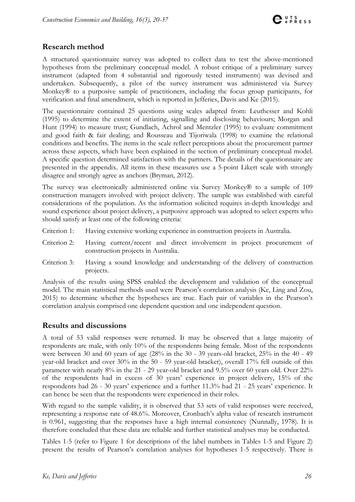# **Research method**

A structured questionnaire survey was adopted to collect data to test the above-mentioned hypotheses from the preliminary conceptual model. A robust critique of a preliminary survey instrument (adapted from 4 substantial and rigorously tested instruments) was devised and undertaken. Subsequently, a pilot of the survey instrument was administered via Survey Monkey<sup>®</sup> to a purposive sample of practitioners, including the focus group participants, for verification and final amendment, which is reported in Jefferies, Davis and Ke (2015).

The questionnaire contained 25 questions using scales adapted from: Leuthesser and Kohli (1995) to determine the extent of initiating, signalling and disclosing behaviours; Morgan and Hunt (1994) to measure trust; Gundlach, Achrol and Mentzler (1995) to evaluate commitment and good faith & fair dealing; and Rousseau and Tijoriwala (1998) to examine the relational conditions and benefits. The items in the scale reflect perceptions about the procurement partner across these aspects, which have been explained in the section of preliminary conceptual model. A specific question determined satisfaction with the partners. The details of the questionnaire are presented in the appendix. All items in these measures use a 5-point Likert scale with strongly disagree and strongly agree as anchors (Bryman, 2012).

The survey was electronically administered online via Survey Monkey® to a sample of 109 construction managers involved with project delivery. The sample was established with careful considerations of the population. As the information solicited requires in-depth knowledge and sound experience about project delivery, a purposive approach was adopted to select experts who should satisfy at least one of the following criteria:

- Criterion 1: Having extensive working experience in construction projects in Australia.
- Criterion 2: Having current/recent and direct involvement in project procurement of construction projects in Australia.
- Criterion 3: Having a sound knowledge and understanding of the delivery of construction projects.

Analysis of the results using SPSS enabled the development and validation of the conceptual model. The main statistical methods used were Pearson's correlation analysis (Ke, Ling and Zou, 2015) to determine whether the hypotheses are true. Each pair of variables in the Pearson's correlation analysis comprised one dependent question and one independent question.

### **Results and discussions**

A total of 53 valid responses were returned. It may be observed that a large majority of respondents are male, with only 10% of the respondents being female. Most of the respondents were between 30 and 60 years of age (28% in the 30 - 39 years-old bracket, 25% in the 40 - 49 year-old bracket and over 30% in the 50 - 59 year-old bracket), overall 17% fell outside of this parameter with nearly 8% in the 21 - 29 year-old bracket and 9.5% over 60 years old. Over 22% of the respondents had in excess of 30 years' experience in project delivery, 15% of the respondents had 26 - 30 years' experience and a further 11.3% had 21 - 25 years' experience. It can hence be seen that the respondents were experienced in their roles.

With regard to the sample validity, it is observed that 53 sets of valid responses were received, representing a response rate of 48.6%. Moreover, Cronbach's alpha value of research instrument is 0.961, suggesting that the responses have a high internal consistency (Nunnally, 1978). It is therefore concluded that these data are reliable and further statistical analyses may be conducted.

Tables 1-5 (refer to Figure 1 for descriptions of the label numbers in Tables 1-5 and Figure 2) present the results of Pearson's correlation analyses for hypotheses 1-5 respectively. There is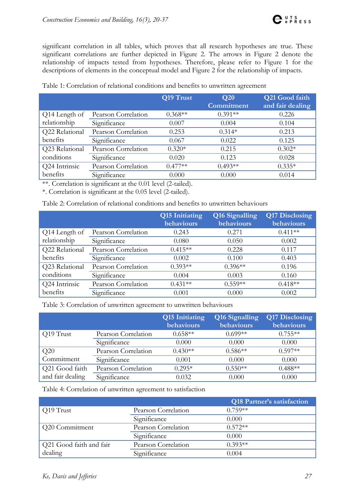significant correlation in all tables, which proves that all research hypotheses are true. These significant correlations are further depicted in Figure 2. The arrows in Figure 2 denote the relationship of impacts tested from hypotheses. Therefore, please refer to Figure 1 for the descriptions of elements in the conceptual model and Figure 2 for the relationship of impacts.

|                               |                     | Q19 Trust | Q20<br>Commitment | Q21 Good faith<br>and fair dealing |
|-------------------------------|---------------------|-----------|-------------------|------------------------------------|
| Q14 Length of<br>relationship | Pearson Correlation | $0.368**$ | $0.391**$         | 0.226                              |
|                               | Significance        | 0.007     | 0.004             | 0.104                              |
| Q22 Relational<br>benefits    | Pearson Correlation | 0.253     | $0.314*$          | 0.213                              |
|                               | Significance        | 0.067     | 0.022             | 0.125                              |
| Q23 Relational<br>conditions  | Pearson Correlation | $0.320*$  | 0.215             | $0.302*$                           |
|                               | Significance        | 0.020     | 0.123             | 0.028                              |
| Q24 Intrinsic<br>benefits     | Pearson Correlation | $0.477**$ | $0.493**$         | $0.335*$                           |
|                               | Significance        | 0.000     | 0.000             | 0.014                              |

Table 1: Correlation of relational conditions and benefits to unwritten agreement

\*\*. Correlation is significant at the 0.01 level (2-tailed).

\*. Correlation is significant at the 0.05 level (2-tailed).

Table 2: Correlation of relational conditions and benefits to unwritten behaviours

|                               |                     | Q15 Initiating<br>behaviours | Q16 Signalling<br>behaviours | <b>Q17 Disclosing</b><br>behaviours |
|-------------------------------|---------------------|------------------------------|------------------------------|-------------------------------------|
| Q14 Length of<br>relationship | Pearson Correlation | 0.243                        | 0.271                        | $0.411**$                           |
|                               | Significance        | 0.080                        | 0.050                        | 0.002                               |
| Q22 Relational<br>benefits    | Pearson Correlation | $0.415**$                    | 0.228                        | 0.117                               |
|                               | Significance        | 0.002                        | 0.100                        | 0.403                               |
| Q23 Relational<br>conditions  | Pearson Correlation | $0.393**$                    | $0.396**$                    | 0.196                               |
|                               | Significance        | 0.004                        | 0.003                        | 0.160                               |
| Q24 Intrinsic<br>benefits     | Pearson Correlation | $0.431**$                    | $0.559**$                    | $0.418**$                           |
|                               | Significance        | 0.001                        | 0.000                        | 0.002                               |

Table 3: Correlation of unwritten agreement to unwritten behaviours

|                  |                     | Q15 Initiating<br>behaviours | Q16 Signalling<br>behaviours | <b>Q17 Disclosing</b><br>behaviours |
|------------------|---------------------|------------------------------|------------------------------|-------------------------------------|
| Q19 Trust        | Pearson Correlation | $0.658**$                    | $0.699**$                    | $0.755**$                           |
|                  | Significance        | 0.000                        | 0.000                        | 0.000                               |
| Q20              | Pearson Correlation | $0.430**$                    | $0.586**$                    | $0.597**$                           |
| Commitment       | Significance        | 0.001                        | 0.000                        | 0.000                               |
| Q21 Good faith   | Pearson Correlation | $0.295*$                     | $0.550**$                    | $0.488**$                           |
| and fair dealing | Significance        | 0.032                        | 0.000                        | 0.000                               |

Table 4: Correlation of unwritten agreement to satisfaction

|                         |                     | Q18 Partner's satisfaction |
|-------------------------|---------------------|----------------------------|
| Q19 Trust               | Pearson Correlation | $0.759**$                  |
|                         | Significance        | 0.000                      |
| Q20 Commitment          | Pearson Correlation | $0.572**$                  |
|                         | Significance        | 0.000                      |
| Q21 Good faith and fair | Pearson Correlation | $0.393**$                  |
| dealing                 | Significance        | 0.004                      |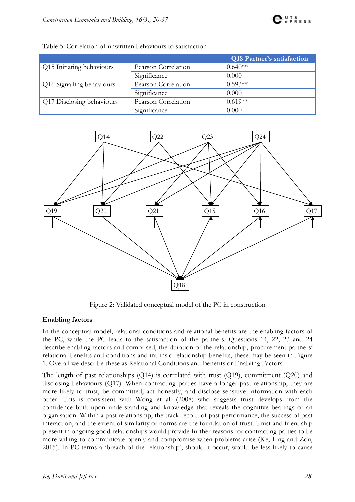|                           |                     | Q18 Partner's satisfaction |
|---------------------------|---------------------|----------------------------|
| Q15 Initiating behaviours | Pearson Correlation | $0.640**$                  |
|                           | Significance        | 0.000                      |
| Q16 Signalling behaviours | Pearson Correlation | $0.593**$                  |
|                           | Significance        | 0.000                      |
| Q17 Disclosing behaviours | Pearson Correlation | $0.619**$                  |
|                           | Significance        | 0.000                      |

Table 5: Correlation of unwritten behaviours to satisfaction



Figure 2: Validated conceptual model of the PC in construction

#### **Enabling factors**

In the conceptual model, relational conditions and relational benefits are the enabling factors of the PC, while the PC leads to the satisfaction of the partners. Questions 14, 22, 23 and 24 describe enabling factors and comprised, the duration of the relationship, procurement partners' relational benefits and conditions and intrinsic relationship benefits, these may be seen in Figure 1. Overall we describe these as Relational Conditions and Benefits or Enabling Factors.

The length of past relationships (Q14) is correlated with trust (Q19), commitment (Q20) and disclosing behaviours (Q17). When contracting parties have a longer past relationship, they are more likely to trust, be committed, act honestly, and disclose sensitive information with each other. This is consistent with Wong et al. (2008) who suggests trust develops from the confidence built upon understanding and knowledge that reveals the cognitive bearings of an organisation. Within a past relationship, the track record of past performance, the success of past interaction, and the extent of similarity or norms are the foundation of trust. Trust and friendship present in ongoing good relationships would provide further reasons for contracting parties to be more willing to communicate openly and compromise when problems arise (Ke, Ling and Zou, 2015). In PC terms a 'breach of the relationship', should it occur, would be less likely to cause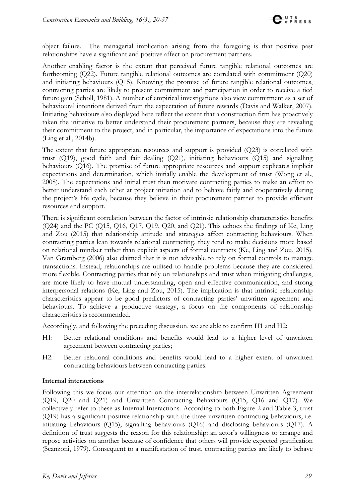abject failure. The managerial implication arising from the foregoing is that positive past relationships have a significant and positive affect on procurement partners.

Another enabling factor is the extent that perceived future tangible relational outcomes are forthcoming (Q22). Future tangible relational outcomes are correlated with commitment (Q20) and initiating behaviours (Q15). Knowing the promise of future tangible relational outcomes, contracting parties are likely to present commitment and participation in order to receive a tied future gain (Scholl, 1981). A number of empirical investigations also view commitment as a set of behavioural intentions derived from the expectation of future rewards (Davis and Walker, 2007). Initiating behaviours also displayed here reflect the extent that a construction firm has proactively taken the initiative to better understand their procurement partners, because they are revealing their commitment to the project, and in particular, the importance of expectations into the future (Ling et al., 2014b).

The extent that future appropriate resources and support is provided (Q23) is correlated with trust (Q19), good faith and fair dealing (Q21), initiating behaviours (Q15) and signalling behaviours (Q16). The promise of future appropriate resources and support explicates implicit expectations and determination, which initially enable the development of trust (Wong et al., 2008). The expectations and initial trust then motivate contracting parties to make an effort to better understand each other at project initiation and to behave fairly and cooperatively during the project's life cycle, because they believe in their procurement partner to provide efficient resources and support.

There is significant correlation between the factor of intrinsic relationship characteristics benefits (Q24) and the PC (Q15, Q16, Q17, Q19, Q20, and Q21). This echoes the findings of Ke, Ling and Zou (2015) that relationship attitude and strategies affect contracting behaviours. When contracting parties lean towards relational contracting, they tend to make decisions more based on relational mindset rather than explicit aspects of formal contracts (Ke, Ling and Zou, 2015). Van Gramberg (2006) also claimed that it is not advisable to rely on formal controls to manage transactions. Instead, relationships are utilised to handle problems because they are considered more flexible. Contracting parties that rely on relationships and trust when mitigating challenges, are more likely to have mutual understanding, open and effective communication, and strong interpersonal relations (Ke, Ling and Zou, 2015). The implication is that intrinsic relationship characteristics appear to be good predictors of contracting parties' unwritten agreement and behaviours. To achieve a productive strategy, a focus on the components of relationship characteristics is recommended.

Accordingly, and following the preceding discussion, we are able to confirm H1 and H2:

- H1: Better relational conditions and benefits would lead to a higher level of unwritten agreement between contracting parties;
- H2: Better relational conditions and benefits would lead to a higher extent of unwritten contracting behaviours between contracting parties.

#### **Internal interactions**

Following this we focus our attention on the interrelationship between Unwritten Agreement (Q19, Q20 and Q21) and Unwritten Contracting Behaviours (Q15, Q16 and Q17). We collectively refer to these as Internal Interactions. According to both Figure 2 and Table 3, trust (Q19) has a significant positive relationship with the three unwritten contracting behaviours, i.e. initiating behaviours (Q15), signalling behaviours (Q16) and disclosing behaviours (Q17). A definition of trust suggests the reason for this relationship: an actor's willingness to arrange and repose activities on another because of confidence that others will provide expected gratification (Scanzoni, 1979). Consequent to a manifestation of trust, contracting parties are likely to behave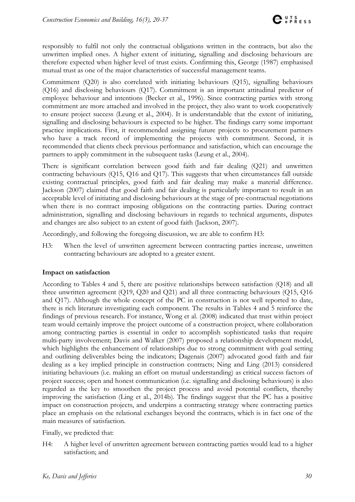responsibly to fulfil not only the contractual obligations written in the contracts, but also the unwritten implied ones. A higher extent of initiating, signalling and disclosing behaviours are therefore expected when higher level of trust exists. Confirming this, George (1987) emphasised mutual trust as one of the major characteristics of successful management teams.

Commitment (Q20) is also correlated with initiating behaviours (Q15), signalling behaviours (Q16) and disclosing behaviours (Q17). Commitment is an important attitudinal predictor of employee behaviour and intentions (Becker et al., 1996). Since contracting parties with strong commitment are more attached and involved in the project, they also want to work cooperatively to ensure project success (Leung et al., 2004). It is understandable that the extent of initiating, signalling and disclosing behaviours is expected to be higher. The findings carry some important practice implications. First, it recommended assigning future projects to procurement partners who have a track record of implementing the projects with commitment. Second, it is recommended that clients check previous performance and satisfaction, which can encourage the partners to apply commitment in the subsequent tasks (Leung et al., 2004).

There is significant correlation between good faith and fair dealing (Q21) and unwritten contracting behaviours (Q15, Q16 and Q17). This suggests that when circumstances fall outside existing contractual principles, good faith and fair dealing may make a material difference. Jackson (2007) claimed that good faith and fair dealing is particularly important to result in an acceptable level of initiating and disclosing behaviours at the stage of pre-contractual negotiations when there is no contract imposing obligations on the contracting parties. During contract administration, signalling and disclosing behaviours in regards to technical arguments, disputes and changes are also subject to an extent of good faith (Jackson, 2007).

Accordingly, and following the foregoing discussion, we are able to confirm H3:

H3: When the level of unwritten agreement between contracting parties increase, unwritten contracting behaviours are adopted to a greater extent.

#### **Impact on satisfaction**

According to Tables 4 and 5, there are positive relationships between satisfaction (Q18) and all three unwritten agreement (Q19, Q20 and Q21) and all three contracting behaviours (Q15, Q16 and Q17). Although the whole concept of the PC in construction is not well reported to date, there is rich literature investigating each component. The results in Tables 4 and 5 reinforce the findings of previous research. For instance, Wong et al. (2008) indicated that trust within project team would certainly improve the project outcome of a construction project, where collaboration among contracting parties is essential in order to accomplish sophisticated tasks that require multi-party involvement; Davis and Walker (2007) proposed a relationship development model, which highlights the enhancement of relationships due to strong commitment with goal setting and outlining deliverables being the indicators; Dagenais (2007) advocated good faith and fair dealing as a key implied principle in construction contracts; Ning and Ling (2013) considered initiating behaviours (i.e. making an effort on mutual understanding) as critical success factors of project success; open and honest communication (i.e. signalling and disclosing behaviours) is also regarded as the key to smoothen the project process and avoid potential conflicts, thereby improving the satisfaction (Ling et al., 2014b). The findings suggest that the PC has a positive impact on construction projects, and underpins a contracting strategy where contracting parties place an emphasis on the relational exchanges beyond the contracts, which is in fact one of the main measures of satisfaction.

Finally, we predicted that:

H4: A higher level of unwritten agreement between contracting parties would lead to a higher satisfaction; and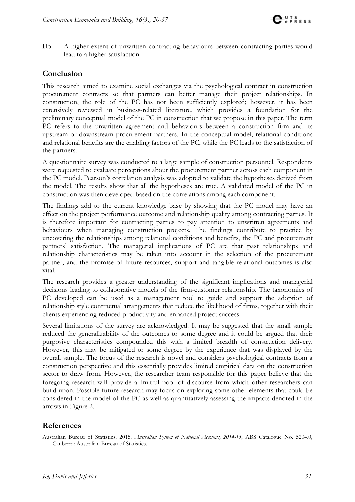H5: A higher extent of unwritten contracting behaviours between contracting parties would lead to a higher satisfaction.

### **Conclusion**

This research aimed to examine social exchanges via the psychological contract in construction procurement contracts so that partners can better manage their project relationships. In construction, the role of the PC has not been sufficiently explored; however, it has been extensively reviewed in business-related literature, which provides a foundation for the preliminary conceptual model of the PC in construction that we propose in this paper. The term PC refers to the unwritten agreement and behaviours between a construction firm and its upstream or downstream procurement partners. In the conceptual model, relational conditions and relational benefits are the enabling factors of the PC, while the PC leads to the satisfaction of the partners.

A questionnaire survey was conducted to a large sample of construction personnel. Respondents were requested to evaluate perceptions about the procurement partner across each component in the PC model. Pearson's correlation analysis was adopted to validate the hypotheses derived from the model. The results show that all the hypotheses are true. A validated model of the PC in construction was then developed based on the correlations among each component.

The findings add to the current knowledge base by showing that the PC model may have an effect on the project performance outcome and relationship quality among contracting parties. It is therefore important for contracting parties to pay attention to unwritten agreements and behaviours when managing construction projects. The findings contribute to practice by uncovering the relationships among relational conditions and benefits, the PC and procurement partners' satisfaction. The managerial implications of PC are that past relationships and relationship characteristics may be taken into account in the selection of the procurement partner, and the promise of future resources, support and tangible relational outcomes is also vital.

The research provides a greater understanding of the significant implications and managerial decisions leading to collaborative models of the firm-customer relationship. The taxonomies of PC developed can be used as a management tool to guide and support the adoption of relationship style contractual arrangements that reduce the likelihood of firms, together with their clients experiencing reduced productivity and enhanced project success.

Several limitations of the survey are acknowledged. It may be suggested that the small sample reduced the generalizability of the outcomes to some degree and it could be argued that their purposive characteristics compounded this with a limited breadth of construction delivery. However, this may be mitigated to some degree by the experience that was displayed by the overall sample. The focus of the research is novel and considers psychological contracts from a construction perspective and this essentially provides limited empirical data on the construction sector to draw from. However, the researcher team responsible for this paper believe that the foregoing research will provide a fruitful pool of discourse from which other researchers can build upon. Possible future research may focus on exploring some other elements that could be considered in the model of the PC as well as quantitatively assessing the impacts denoted in the arrows in Figure 2.

### **References**

Australian Bureau of Statistics, 2015. *Australian System of National Accounts, 2014-15*, ABS Catalogue No. 5204.0, Canberra: Australian Bureau of Statistics.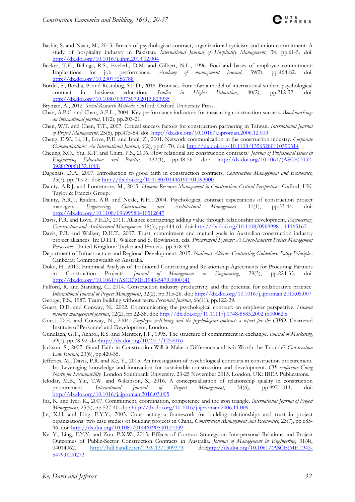- Bashir, S. and Nasir, M., 2013. Breach of psychological contract, organizational cynicism and union commitment: A study of hospitality industry in Pakistan. *International Journal of Hospitality Management*, 34, pp.61-5. doi: <http://dx.doi.org/10.1016/j.ijhm.2013.02.004>
- Becker, T.E., Billings, R.S., Eveleth, D.M. and Gilbert, N.L., 1996. Foci and bases of employee commitment: Implications for job performance. *Academy of management journal*, 39(2), pp.464-82. doi: <http://dx.doi.org/10.2307/256788>
- Bordia, S., Bordia, P. and Restubog, S.L.D., 2015. Promises from afar: a model of international student psychological contract in business education. *Studies in Higher Education*, 40(2), pp.212-32. doi: <http://dx.doi.org/10.1080/03075079.2013.823935>
- Bryman, A., 2012. *Social Research Methods.* Oxford: Oxford University Press.
- Chan, A.P.C. and Chan, A.P.L., 2004. Key performance indicators for measuring construction success. *Benchmarking: an international journal*, 11(2), pp.203-21.
- Chen, W.T. and Chen, T.T., 2007. Critical success factors for construction partnering in Taiwan. *International Journal of Project Management*, 25(5), pp.475-84. doi:<http://dx.doi.org/10.1016/j.ijproman.2006.12.003>
- Cheng, E.W., Li, H., Love, P.E. and Irani, Z., 2001. Network communication in the construction industry. *Corporate Communications: An International Journal*, 6(2), pp.61-70. doi:<http://dx.doi.org/10.1108/13563280110390314>
- Cheung, S.O., Yiu, K.T. and Chim, P.S., 2006. How relational are construction contracts? *Journal of Professional Issues in Engineering Education and Practice*, 132(1), pp.48-56. doi: [http://dx.doi.org/10.1061/\(ASCE\)1052-](http://dx.doi.org/10.1061/%28ASCE%291052-3928%282006%29132:1%2848%29) [3928\(2006\)132:1\(48\)](http://dx.doi.org/10.1061/%28ASCE%291052-3928%282006%29132:1%2848%29)
- Dagenais, D.A., 2007. Introduction to good faith in construction contracts. *Construction Management and Economics*, 25(7), pp.715-21.doi[: http://dx.doi.org/10.1080/01446190701393000](http://dx.doi.org/10.1080/01446190701393000)
- Dainty, A.R.J. and Loosemore, M., 2013. *Human Resource Management in Construction: Critical Perspectives.* Oxford, UK: Taylor & Francis Group.
- Dainty, A.R.J., Raiden, A.B. and Neale, R.H., 2004. Psychological contract expectations of construction project managers. *Engineering, Construction and Architectural Management*, 11(1), pp.33-44. doi: <http://dx.doi.org/10.1108/09699980410512647>
- Davis, P.R. and Love, P.E.D., 2011. Alliance contracting: adding value through relationship development. *Engineering, Construction and Architectural Management*, 18(5), pp.444-61. doi[: http://dx.doi.org/10.1108/09699981111165167](http://dx.doi.org/10.1108/09699981111165167)
- Davis, P.R. and Walker, D.H.T., 2007. Trust, commitment and mutual goals in Australian construction industry project alliances. In: D.H.T. Walker and S. Rowlinson, eds. *Procurement Systems: A Cross-Industry Project Management Perspective*. United Kingdom: Taylor and Francis. pp.378-99.
- Department of Infrastructure and Regional Development, 2015. *National Alliance Contracting Guidelines: Policy Principles*. Canberra: Commonwealth of Australia.
- Doloi, H.. 2013. Empirical Analysis of Traditional Contracting and Relationship Agreements for Procuring Partners in Construction Projects. *Journal of Management in Engineering*, 29(3), pp.224-35. doi: [http://dx.doi.org/10.1061/\(ASCE\)ME.1943-5479.0000141](http://dx.doi.org/10.1061/%28ASCE%29ME.1943-5479.0000141)
- Fulford, R. and Standing, C., 2014. Construction industry productivity and the potential for collaborative practice. *International Journal of Project Management*, 32(2), pp.315-26. doi:<http://dx.doi.org/10.1016/j.ijproman.2013.05.007> George, P.S., 1987. Team building without tears. *Personnel Journal*, 66(11), pp.122-29.
- Guest, D.E. and Conway, N., 2002. Communicating the psychological contract: an employer perspective. *Human resource management journal*, 12(2), pp.22-38. doi[: http://dx.doi.org/10.1111/j.1748-8583.2002.tb00062.x](http://dx.doi.org/10.1111/j.1748-8583.2002.tb00062.x)
- Guest, D.E. and Conway, N., 2004. *Employee well-being and the psychological contract: a report for the CIPD*. Chartered Institute of Personnel and Development, London.
- Gundlach, G.T., Achrol, R.S. and Mentzer, J.T., 1995. The structure of commitment in exchange. *Journal of Marketing*, 59(1), pp.78-92. doi[:http://dx.doi.org/10.2307/1252016](http://dx.doi.org/10.2307/1252016)
- Jackson, S., 2007. Good Faith in Construction-Will it Make a Difference and is it Worth the Trouble? *Construction Law Journal*, 23(6), pp.420-35.
- Jefferies, M., Davis, P.R. and Ke, Y., 2015. An investigation of psychological contracts in construction procurement. In: Leveraging knowledge and innovation for sustainable construction and development. *CIB conference Going North for Sustainability* London Southbank University. 23-25 November 2015. London, UK: IBEA Publications.
- Jelodar, M.B., Yiu, T.W. and Wilkinson, S., 2016. A conceptualisation of relationship quality in construction procurement. *International Journal of Project Management*, 34(6), pp.997-1011. doi: <http://dx.doi.org/10.1016/j.ijproman.2016.03.005>
- Jha, K. and Iyer, K., 2007. Commitment, coordination, competence and the iron triangle. *International Journal of Project Management*, 25(5), pp.527-40. doi[: http://dx.doi.org/10.1016/j.ijproman.2006.11.009](http://dx.doi.org/10.1016/j.ijproman.2006.11.009)
- Jin, X.H. and Ling, F.Y.Y., 2005. Constructing a framework for building relationships and trust in project organizations: two case studies of building projects in China. *Construction Management and Economics*, 23(7), pp.685 96. doi:<http://dx.doi.org/10.1080/01446190500127039>
- Ke, Y., Ling, F.Y.Y. and Zou, P.X.W., 2015. Effects of Contract Strategy on Interpersonal Relations and Project Outcomes of Public-Sector Construction Contracts in Australia. *Journal of Management in Engineering*, 31(4), 04014062. [http://hdl.handle.net/1959.13/1309379.](http://hdl.handle.net/1959.13/1309379) do[i:http://dx.doi.org/10.1061/\(ASCE\)ME.1943-](http://dx.doi.org/10.1061/%28ASCE%29ME.1943-5479.0000273) [5479.0000273](http://dx.doi.org/10.1061/%28ASCE%29ME.1943-5479.0000273)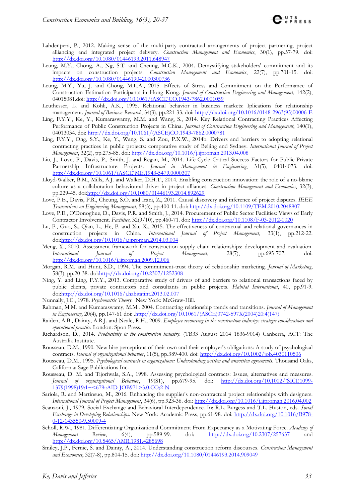- Lahdenperä, P., 2012. Making sense of the multi-party contractual arrangements of project partnering, project alliancing and integrated project delivery. *Construction Management and Economics*, 30(1), pp.57-79. doi: <http://dx.doi.org/10.1080/01446193.2011.648947>
- Leung, M.Y., Chong, A., Ng, S.T. and Cheung, M.C.K., 2004. Demystifying stakeholders' commitment and its impacts on construction projects. *Construction Management and Economics*, 22(7), pp.701-15. doi: <http://dx.doi.org/10.1080/0144619042000300736>
- Leung, M.Y., Yu, J. and Chong, M.L.A., 2015. Effects of Stress and Commitment on the Performance of Construction Estimation Participants in Hong Kong. *Journal of Construction Engineering and Management*, 142(2), 04015081.doi[: http://dx.doi.org/10.1061/\(ASCE\)CO.1943-7862.0001059](http://dx.doi.org/10.1061/%28ASCE%29CO.1943-7862.0001059)
- Leuthesser, L. and Kohli, A.K., 1995. Relational behavior in business markets: Iplications for relationship management. *Journal of Business Research*, 34(3), pp.221-33. doi: [http://dx.doi.org/10.1016/0148-2963\(95\)00006-E](http://dx.doi.org/10.1016/0148-2963%2895%2900006-E)
- Ling, F.Y.Y., Ke, Y., Kumaraswamy, M.M. and Wang, S., 2014. Key Relational Contracting Practices Affecting Performance of Public Construction Projects in China. *Journal of Construction Engineering and Management*, 140(1), 04013034. doi: [http://dx.doi.org/10.1061/\(ASCE\)CO.1943-7862.0000781](http://dx.doi.org/10.1061/%28ASCE%29CO.1943-7862.0000781)
- Ling, F.Y.Y., Ong, S.Y., Ke, Y., Wang, S. and Zou, P.X.W., 2014b. Drivers and barriers to adopting relational contracting practices in public projects: comparative study of Beijing and Sydney. *International Journal of Project Management*, 32(2), pp.275-85. doi[: http://dx.doi.org/10.1016/j.ijproman.2013.04.008](http://dx.doi.org/10.1016/j.ijproman.2013.04.008)
- Liu, J., Love, P., Davis, P., Smith, J. and Regan, M., 2014. Life-Cycle Critical Success Factors for Public-Private Partnership Infrastructure Projects. *Journal in Management in Engineering*, 31(5), 04014073. doi: [http://dx.doi.org/10.1061/\(ASCE\)ME.1943-5479.0000307](http://dx.doi.org/10.1061/%28ASCE%29ME.1943-5479.0000307)
- Lloyd-Walker, B.M., Mills, A.J. and Walker, D.H.T., 2014. Enabling construction innovation: the role of a no-blame culture as a collaboration behavioural driver in project alliances. *Construction Management and Economics*, 32(3), pp.229-45. doi[:http://dx.doi.org/10.1080/01446193.2014.892629](http://dx.doi.org/10.1080/01446193.2014.892629)
- Love, P.E., Davis, P.R., Cheung, S.O. and Irani, Z., 2011. Causal discovery and inference of project disputes. *IEEE Transactions on Engineering Management*, 58(3), pp.400-11. doi:<http://dx.doi.org/10.1109/TEM.2010.2048907>
- Love, P.E., O'Donoghue, D., Davis, P.R. and Smith, J., 2014. Procurement of Public Sector Facilities: Views of Early Contractor Involvement. *Facilities*, 32(9/10), pp.460-71. doi:<http://dx.doi.org/10.1108/F-03-2012-0020>
- Lu, P., Guo, S., Qian, L., He, P. and Xu, X., 2015. The effectiveness of contractual and relational governances in construction projects in China. *International Journal of Project Management*, 33(1), pp.212-22. do[i:http://dx.doi.org/10.1016/j.ijproman.2014.03.004](http://dx.doi.org/10.1016/j.ijproman.2014.03.004)
- Meng, X., 2010. Assessment framework for construction supply chain relationships: development and evaluation. *International Journal of Project Management*, 28(7), pp.695-707. doi: <http://dx.doi.org/10.1016/j.ijproman.2009.12.006>
- Morgan, R.M. and Hunt, S.D., 1994. The commitment-trust theory of relationship marketing. *Journal of Marketing*, 58(3), pp.20-38. doi[:http://dx.doi.org/10.2307/1252308](http://dx.doi.org/10.2307/1252308)
- Ning, Y. and Ling, F.Y.Y., 2013. Comparative study of drivers of and barriers to relational transactions faced by public clients, private contractors and consultants in public projects. *Habitat International*, 40, pp.91-9. do[i:http://dx.doi.org/10.1016/j.habitatint.2013.02.007](http://dx.doi.org/10.1016/j.habitatint.2013.02.007)
- Nunnally, J.C., 1978. *Psychometric Theory*. New York: McGraw-Hill.
- Rahman, M.M. and Kumaraswamy, M.M.. 2004. Contracting relationship trends and transitions. *Journal of Management in Engineering*, 20(4), pp.147-61 doi: [.http://dx.doi.org/10.1061/\(ASCE\)0742-597X\(2004\)20:4\(147\)](http://dx.doi.org/10.1061/%28ASCE%290742-597X%282004%2920:4%28147%29)
- Raiden, A.B., Dainty, A.R.J. and Neale, R.H., 2009. *Employee resourcing in the construction industry: strategic considerations and operational practice.* London: Spon Press.
- Richardson, D., 2014. *Productivity in the construction industry*. (TB33 August 2014 1836-9014) Canberra, ACT: The Australia Institute.
- Rousseau, D.M., 1990. New hire perceptions of their own and their employer's obligations: A study of psychological contracts. *Journal of organizational behavior*, 11(5), pp.389-400. doi[: http://dx.doi.org/10.1002/job.4030110506](http://dx.doi.org/10.1002/job.4030110506)
- Rousseau, D.M., 1995. *Psychological contracts in organizations: Understanding written and unwritten agreements*. Thousand Oaks, California: Sage Publications Inc.
- Rousseau, D. M. and Tijoriwala, S.A., 1998. Assessing psychological contracts: Issues, alternatives and measures. *Journal of organizational Behavior*, 19(S1), pp.679-95. doi: [http://dx.doi.org/10.1002/\(SICI\)1099-](http://dx.doi.org/10.1002/%28SICI%291099-1379%281998%2919:1+%3C679::AID-JOB971%3E3.0.CO;2-N) [1379\(1998\)19:1+<679::AID-JOB971>3.0.CO;2-N](http://dx.doi.org/10.1002/%28SICI%291099-1379%281998%2919:1+%3C679::AID-JOB971%3E3.0.CO;2-N)
- Sariola, R. and Martinsuo, M., 2016. Enhancing the supplier's non-contractual project relationships with designers. *International Journal of Project Management*, 34(6), pp.923-36. doi:<http://dx.doi.org/10.1016/j.ijproman.2016.04.002>
- Scanzoni, J., 1979. Social Exchange and Behavioral Interdependence. In: R.L. Burgess and T.L. Huston, eds. *Social Exchange in Developing Relationships*. New York: Academic Press, pp.61-98. doi: [http://dx.doi.org/10.1016/B978-](http://dx.doi.org/10.1016/B978-0-12-143550-9.50009-4) [0-12-143550-9.50009-4](http://dx.doi.org/10.1016/B978-0-12-143550-9.50009-4)
- Scholl, R.W., 1981. Differentiating Organizational Commitment From Expectancy as a Motivating Force. *Academy of Management Review*, 6(4), pp.589-99. doi: <http://dx.doi.org/10.2307/257637> and <http://dx.doi.org/10.5465/AMR.1981.4285698>
- Smiley, J.P., Fernie, S. and Dainty, A., 2014. Understanding construction reform discourses. *Construction Management and Economics*, 32(7-8), pp.804-15. doi[: http://dx.doi.org/10.1080/01446193.2014.909049](http://dx.doi.org/10.1080/01446193.2014.909049)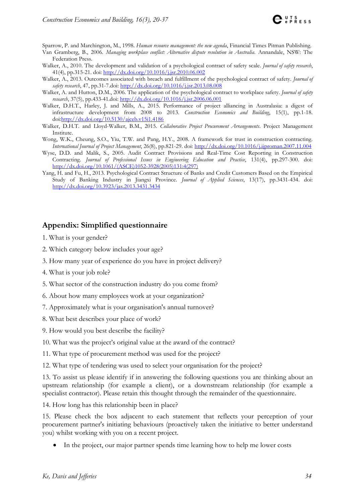Sparrow, P. and Marchington, M., 1998. *Human resource management: the new agenda*, Financial Times Pitman Publishing.

- Van Gramberg, B., 2006. *Managing workplace conflict: Alternative dispute resolution in Australia.* Annandale, NSW: The Federation Press.
- Walker, A., 2010. The development and validation of a psychological contract of safety scale. *Journal of safety research*, 41(4), pp.315-21. doi:<http://dx.doi.org/10.1016/j.jsr.2010.06.002>
- Walker, A., 2013. Outcomes associated with breach and fulfillment of the psychological contract of safety. *Journal of safety research*, 47, pp.31-7.doi[: http://dx.doi.org/10.1016/j.jsr.2013.08.008](http://dx.doi.org/10.1016/j.jsr.2013.08.008)
- Walker, A. and Hutton, D.M., 2006. The application of the psychological contract to workplace safety. *Journal of safety research*, 37(5), pp.433-41.doi:<http://dx.doi.org/10.1016/j.jsr.2006.06.001>
- Walker, D.H.T., Harley, J. and Mills, A., 2015. Performance of project alliancing in Australasia: a digest of infrastructure development from 2008 to 2013. *Construction Economics and Building*, 15(1), pp.1-18. do[i:http://dx.doi.org/10.5130/ajceb.v15i1.4186](http://dx.doi.org/10.5130/ajceb.v15i1.4186)
- Walker, D.H.T. and Lloyd-Walker, B.M., 2015. *Collaborative Project Procurement Arrangements*. Project Management Institute.
- Wong, W.K., Cheung, S.O., Yiu, T.W. and Pang, H.Y., 2008. A framework for trust in construction contracting. *International Journal of Project Management*, 26(8), pp.821-29. doi:<http://dx.doi.org/10.1016/j.ijproman.2007.11.004>
- Wyse, D.D. and Malik, S., 2005. Audit Contract Provisions and Real-Time Cost Reporting in Construction Contracting. *Journal of Professional Issues in Engineering Education and Practice*, 131(4), pp.297-300. doi: [http://dx.doi.org/10.1061/\(ASCE\)1052-3928\(2005\)131:4\(297\)](http://dx.doi.org/10.1061/%28ASCE%291052-3928%282005%29131:4%28297%29)
- Yang, H. and Fu, H., 2013. Psychological Contract Structure of Banks and Credit Customers Based on the Empirical Study of Banking Industry in Jiangxi Province. *Journal of Applied Sciences*, 13(17), pp.3431-434. doi: <http://dx.doi.org/10.3923/jas.2013.3431.3434>

### **Appendix: Simplified questionnaire**

- 1. What is your gender?
- 2. Which category below includes your age?
- 3. How many year of experience do you have in project delivery?
- 4. What is your job role?
- 5. What sector of the construction industry do you come from?
- 6. About how many employees work at your organization?
- 7. Approximately what is your organisation's annual turnover?
- 8. What best describes your place of work?
- 9. How would you best describe the facility?
- 10. What was the project's original value at the award of the contract?
- 11. What type of procurement method was used for the project?
- 12. What type of tendering was used to select your organisation for the project?

13. To assist us please identify if in answering the following questions you are thinking about an upstream relationship (for example a client), or a downstream relationship (for example a specialist contractor). Please retain this thought through the remainder of the questionnaire.

14. How long has this relationship been in place?

15. Please check the box adjacent to each statement that reflects your perception of your procurement partner's initiating behaviours (proactively taken the initiative to better understand you) whilst working with you on a recent project.

• In the project, our major partner spends time learning how to help me lower costs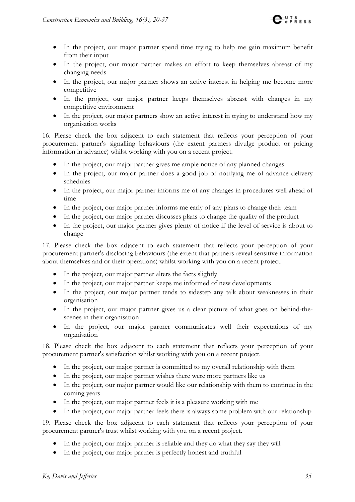- In the project, our major partner spend time trying to help me gain maximum benefit from their input
- In the project, our major partner makes an effort to keep themselves abreast of my changing needs
- In the project, our major partner shows an active interest in helping me become more competitive
- In the project, our major partner keeps themselves abreast with changes in my competitive environment
- In the project, our major partners show an active interest in trying to understand how my organisation works

16. Please check the box adjacent to each statement that reflects your perception of your procurement partner's signalling behaviours (the extent partners divulge product or pricing information in advance) whilst working with you on a recent project.

- In the project, our major partner gives me ample notice of any planned changes
- In the project, our major partner does a good job of notifying me of advance delivery schedules
- In the project, our major partner informs me of any changes in procedures well ahead of time
- In the project, our major partner informs me early of any plans to change their team
- In the project, our major partner discusses plans to change the quality of the product
- In the project, our major partner gives plenty of notice if the level of service is about to change

17. Please check the box adjacent to each statement that reflects your perception of your procurement partner's disclosing behaviours (the extent that partners reveal sensitive information about themselves and or their operations) whilst working with you on a recent project.

- In the project, our major partner alters the facts slightly
- In the project, our major partner keeps me informed of new developments
- In the project, our major partner tends to sidestep any talk about weaknesses in their organisation
- In the project, our major partner gives us a clear picture of what goes on behind-thescenes in their organisation
- In the project, our major partner communicates well their expectations of my organisation

18. Please check the box adjacent to each statement that reflects your perception of your procurement partner's satisfaction whilst working with you on a recent project.

- In the project, our major partner is committed to my overall relationship with them
- In the project, our major partner wishes there were more partners like us
- In the project, our major partner would like our relationship with them to continue in the coming years
- In the project, our major partner feels it is a pleasure working with me
- In the project, our major partner feels there is always some problem with our relationship

19. Please check the box adjacent to each statement that reflects your perception of your procurement partner's trust whilst working with you on a recent project.

- In the project, our major partner is reliable and they do what they say they will
- In the project, our major partner is perfectly honest and truthful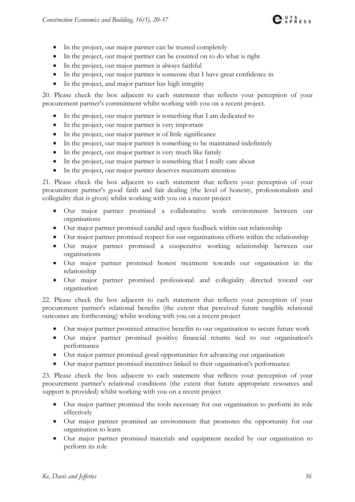

- In the project, our major partner can be trusted completely
- In the project, our major partner can be counted on to do what is right
- In the project, our major partner is always faithful
- In the project, our major partner is someone that I have great confidence in
- In the project, and major partner has high integrity

20. Please check the box adjacent to each statement that reflects your perception of your procurement partner's commitment whilst working with you on a recent project.

- In the project, our major partner is something that I am dedicated to
- In the project, our major partner is very important
- In the project, our major partner is of little significance
- In the project, our major partner is something to be maintained indefinitely
- In the project, our major partner is very much like family
- In the project, our major partner is something that I really care about
- In the project, our major partner deserves maximum attention

21. Please check the box adjacent to each statement that reflects your perception of your procurement partner's good faith and fair dealing (the level of honesty, professionalism and collegiality that is given) whilst working with you on a recent project

- Our major partner promised a collaborative work environment between our organisations
- Our major partner promised candid and open feedback within our relationship
- Our major partner promised respect for our organisations efforts within the relationship
- Our major partner promised a cooperative working relationship between our organisations
- Our major partner promised honest treatment towards our organisation in the relationship
- Our major partner promised professional and collegiality directed toward our organisation

22. Please check the box adjacent to each statement that reflects your perception of your procurement partner's relational benefits (the extent that perceived future tangible relational outcomes are forthcoming) whilst working with you on a recent project

- Our major partner promised attractive benefits to our organisation to secure future work
- Our major partner promised positive financial returns tied to our organisation's performance
- Our major partner promised good opportunities for advancing our organisation
- Our major partner promised incentives linked to their organisation's performance

23. Please check the box adjacent to each statement that reflects your perception of your procurement partner's relational conditions (the extent that future appropriate resources and support is provided) whilst working with you on a recent project

- Our major partner promised the tools necessary for our organisation to perform its role effectively
- Our major partner promised an environment that promotes the opportunity for our organisation to learn
- Our major partner promised materials and equipment needed by our organisation to perform its role